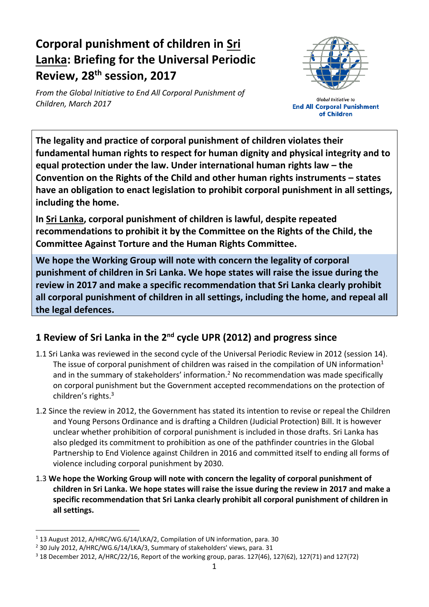# **Corporal punishment of children in Sri Lanka: Briefing for the Universal Periodic Review, 28 th session, 2017**

*From the Global Initiative to End All Corporal Punishment of Children, March 2017*



**Global Initiative to End All Corporal Punishment** of Children

**The legality and practice of corporal punishment of children violates their fundamental human rights to respect for human dignity and physical integrity and to equal protection under the law. Under international human rights law – the Convention on the Rights of the Child and other human rights instruments – states have an obligation to enact legislation to prohibit corporal punishment in all settings, including the home.**

**In Sri Lanka, corporal punishment of children is lawful, despite repeated recommendations to prohibit it by the Committee on the Rights of the Child, the Committee Against Torture and the Human Rights Committee.**

**We hope the Working Group will note with concern the legality of corporal punishment of children in Sri Lanka. We hope states will raise the issue during the review in 2017 and make a specific recommendation that Sri Lanka clearly prohibit all corporal punishment of children in all settings, including the home, and repeal all the legal defences.**

## **1 Review of Sri Lanka in the 2nd cycle UPR (2012) and progress since**

- 1.1 Sri Lanka was reviewed in the second cycle of the Universal Periodic Review in 2012 (session 14). The issue of corporal punishment of children was raised in the compilation of UN information<sup>1</sup> and in the summary of stakeholders' information.<sup>2</sup> No recommendation was made specifically on corporal punishment but the Government accepted recommendations on the protection of children's rights.<sup>3</sup>
- 1.2 Since the review in 2012, the Government has stated its intention to revise or repeal the Children and Young Persons Ordinance and is drafting a Children (Judicial Protection) Bill. It is however unclear whether prohibition of corporal punishment is included in those drafts. Sri Lanka has also pledged its commitment to prohibition as one of the pathfinder countries in the Global Partnership to End Violence against Children in 2016 and committed itself to ending all forms of violence including corporal punishment by 2030.
- 1.3 **We hope the Working Group will note with concern the legality of corporal punishment of children in Sri Lanka. We hope states will raise the issue during the review in 2017 and make a specific recommendation that Sri Lanka clearly prohibit all corporal punishment of children in all settings.**

<sup>&</sup>lt;sup>1</sup> 13 August 2012, A/HRC/WG.6/14/LKA/2, Compilation of UN information, para. 30

<sup>2</sup> 30 July 2012, A/HRC/WG.6/14/LKA/3, Summary of stakeholders' views, para. 31

 $3$  18 December 2012, A/HRC/22/16, Report of the working group, paras. 127(46), 127(62), 127(71) and 127(72)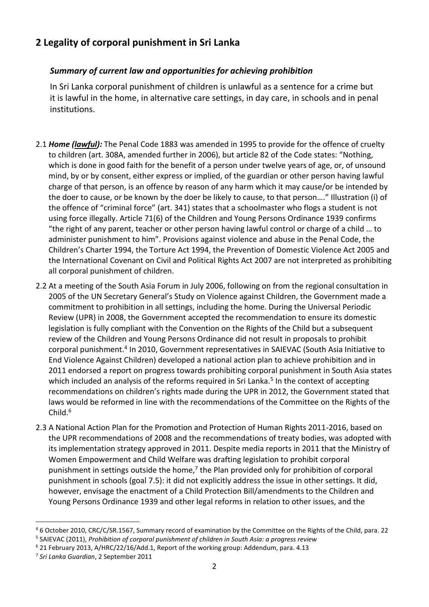#### **2 Legality of corporal punishment in Sri Lanka**

#### *Summary of current law and opportunities for achieving prohibition*

In Sri Lanka corporal punishment of children is unlawful as a sentence for a crime but it is lawful in the home, in alternative care settings, in day care, in schools and in penal institutions.

- 2.1 *Home (lawful):* The Penal Code 1883 was amended in 1995 to provide for the offence of cruelty to children (art. 308A, amended further in 2006), but article 82 of the Code states: "Nothing, which is done in good faith for the benefit of a person under twelve years of age, or, of unsound mind, by or by consent, either express or implied, of the guardian or other person having lawful charge of that person, is an offence by reason of any harm which it may cause/or be intended by the doer to cause, or be known by the doer be likely to cause, to that person…." Illustration (i) of the offence of "criminal force" (art. 341) states that a schoolmaster who flogs a student is not using force illegally. Article 71(6) of the Children and Young Persons Ordinance 1939 confirms "the right of any parent, teacher or other person having lawful control or charge of a child … to administer punishment to him". Provisions against violence and abuse in the Penal Code, the Children's Charter 1994, the Torture Act 1994, the Prevention of Domestic Violence Act 2005 and the International Covenant on Civil and Political Rights Act 2007 are not interpreted as prohibiting all corporal punishment of children.
- 2.2 At a meeting of the South Asia Forum in July 2006, following on from the regional consultation in 2005 of the UN Secretary General's Study on Violence against Children, the Government made a commitment to prohibition in all settings, including the home. During the Universal Periodic Review (UPR) in 2008, the Government accepted the recommendation to ensure its domestic legislation is fully compliant with the Convention on the Rights of the Child but a subsequent review of the Children and Young Persons Ordinance did not result in proposals to prohibit corporal punishment.<sup>4</sup> In 2010, Government representatives in SAIEVAC (South Asia Initiative to End Violence Against Children) developed a national action plan to achieve prohibition and in 2011 endorsed a report on progress towards prohibiting corporal punishment in South Asia states which included an analysis of the reforms required in Sri Lanka.<sup>5</sup> In the context of accepting recommendations on children's rights made during the UPR in 2012, the Government stated that laws would be reformed in line with the recommendations of the Committee on the Rights of the Child.<sup>6</sup>
- 2.3 A National Action Plan for the Promotion and Protection of Human Rights 2011-2016, based on the UPR recommendations of 2008 and the recommendations of treaty bodies, was adopted with its implementation strategy approved in 2011. Despite media reports in 2011 that the Ministry of Women Empowerment and Child Welfare was drafting legislation to prohibit corporal punishment in settings outside the home, $7$  the Plan provided only for prohibition of corporal punishment in schools (goal 7.5): it did not explicitly address the issue in other settings. It did, however, envisage the enactment of a Child Protection Bill/amendments to the Children and Young Persons Ordinance 1939 and other legal reforms in relation to other issues, and the

<sup>4</sup> 6 October 2010, CRC/C/SR.1567, Summary record of examination by the Committee on the Rights of the Child, para. 22

<sup>5</sup> SAIEVAC (2011), *Prohibition of corporal punishment of children in South Asia: a progress review*

<sup>6</sup> 21 February 2013, A/HRC/22/16/Add.1, Report of the working group: Addendum, para. 4.13

<sup>7</sup> *Sri Lanka Guardian*, 2 September 2011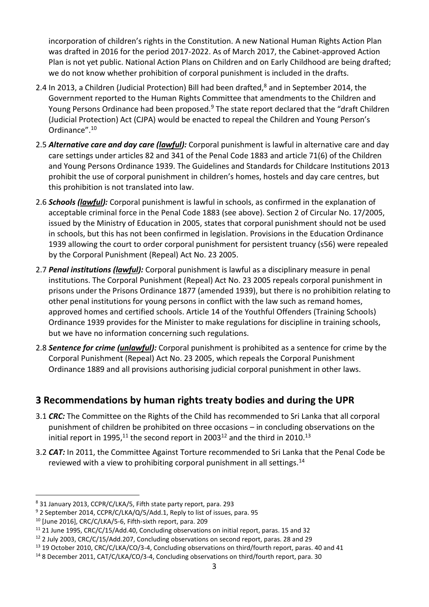incorporation of children's rights in the Constitution. A new National Human Rights Action Plan was drafted in 2016 for the period 2017-2022. As of March 2017, the Cabinet-approved Action Plan is not yet public. National Action Plans on Children and on Early Childhood are being drafted; we do not know whether prohibition of corporal punishment is included in the drafts.

- 2.4 In 2013, a Children (Judicial Protection) Bill had been drafted,<sup>8</sup> and in September 2014, the Government reported to the Human Rights Committee that amendments to the Children and Young Persons Ordinance had been proposed.<sup>9</sup> The state report declared that the "draft Children (Judicial Protection) Act (CJPA) would be enacted to repeal the Children and Young Person's Ordinance".<sup>10</sup>
- 2.5 *Alternative care and day care (lawful):* Corporal punishment is lawful in alternative care and day care settings under articles 82 and 341 of the Penal Code 1883 and article 71(6) of the Children and Young Persons Ordinance 1939. The Guidelines and Standards for Childcare Institutions 2013 prohibit the use of corporal punishment in children's homes, hostels and day care centres, but this prohibition is not translated into law.
- 2.6 *Schools (lawful):* Corporal punishment is lawful in schools, as confirmed in the explanation of acceptable criminal force in the Penal Code 1883 (see above). Section 2 of Circular No. 17/2005, issued by the Ministry of Education in 2005, states that corporal punishment should not be used in schools, but this has not been confirmed in legislation. Provisions in the Education Ordinance 1939 allowing the court to order corporal punishment for persistent truancy (s56) were repealed by the Corporal Punishment (Repeal) Act No. 23 2005.
- 2.7 *Penal institutions (lawful):* Corporal punishment is lawful as a disciplinary measure in penal institutions. The Corporal Punishment (Repeal) Act No. 23 2005 repeals corporal punishment in prisons under the Prisons Ordinance 1877 (amended 1939), but there is no prohibition relating to other penal institutions for young persons in conflict with the law such as remand homes, approved homes and certified schools. Article 14 of the Youthful Offenders (Training Schools) Ordinance 1939 provides for the Minister to make regulations for discipline in training schools, but we have no information concerning such regulations.
- 2.8 *Sentence for crime (unlawful):* Corporal punishment is prohibited as a sentence for crime by the Corporal Punishment (Repeal) Act No. 23 2005, which repeals the Corporal Punishment Ordinance 1889 and all provisions authorising judicial corporal punishment in other laws.

### **3 Recommendations by human rights treaty bodies and during the UPR**

- 3.1 *CRC:* The Committee on the Rights of the Child has recommended to Sri Lanka that all corporal punishment of children be prohibited on three occasions – in concluding observations on the initial report in 1995,<sup>11</sup> the second report in 2003<sup>12</sup> and the third in 2010.<sup>13</sup>
- 3.2 *CAT:* In 2011, the Committee Against Torture recommended to Sri Lanka that the Penal Code be reviewed with a view to prohibiting corporal punishment in all settings.<sup>14</sup>

<sup>8</sup> 31 January 2013, CCPR/C/LKA/5, Fifth state party report, para. 293

<sup>&</sup>lt;sup>9</sup> 2 September 2014, CCPR/C/LKA/Q/5/Add.1, Reply to list of issues, para. 95

<sup>10</sup> [June 2016], CRC/C/LKA/5-6, Fifth-sixth report, para. 209

 $11$  21 June 1995, CRC/C/15/Add.40, Concluding observations on initial report, paras. 15 and 32

<sup>&</sup>lt;sup>12</sup> 2 July 2003, CRC/C/15/Add.207, Concluding observations on second report, paras. 28 and 29

<sup>13</sup> 19 October 2010, CRC/C/LKA/CO/3-4, Concluding observations on third/fourth report, paras. 40 and 41

<sup>&</sup>lt;sup>14</sup> 8 December 2011, CAT/C/LKA/CO/3-4, Concluding observations on third/fourth report, para. 30